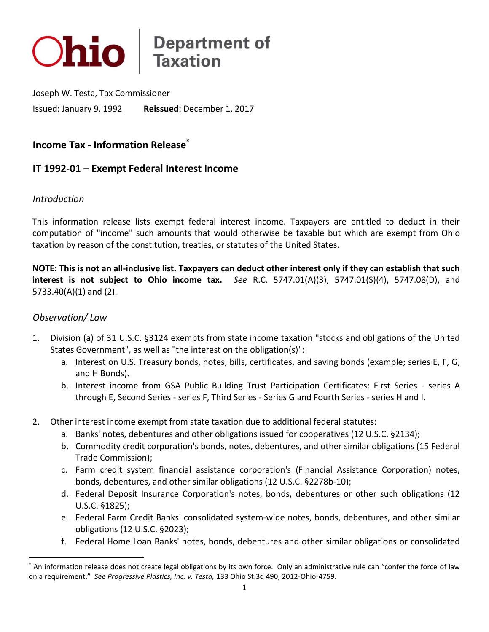

Issued: January 9, 1992 Joseph W. Testa, Tax Commissioner Reissued: December 1, 2017

**Income Tax - Information Release\*** 

# **IT 1992-01 – Exempt Federal Interest Income**

### *Introduction*

 This information release lists exempt federal interest income. Taxpayers are entitled to deduct in their computation of "income" such amounts that would otherwise be taxable but which are exempt from Ohio taxation by reason of the constitution, treaties, or statutes of the United States.

 **NOTE: This is not an all-inclusive list. Taxpayers can deduct other interest only if they can establish that such interest is not subject to Ohio income tax.** *See* R.C. 5747.01(A)(3), 5747.01(S)(4), 5747.08(D), and 5733.40(A)(1) and (2).

### *Observation/ Law*

 $\overline{\phantom{a}}$ 

- 1. Division (a) of 31 U.S.C. §3124 exempts from state income taxation "stocks and obligations of the United States Government", as well as "the interest on the obligation(s)":
	- a. Interest on U.S. Treasury bonds, notes, bills, certificates, and saving bonds (example; series E, F, G, and H Bonds).
	- b. Interest income from GSA Public Building Trust Participation Certificates: First Series series A through E, Second Series - series F, Third Series - Series G and Fourth Series - series H and I.
- 2. Other interest income exempt from state taxation due to additional federal statutes:
	- a. Banks' notes, debentures and other obligations issued for cooperatives (12 U.S.C. §2134);
	- b. Commodity credit corporation's bonds, notes, debentures, and other similar obligations (15 Federal Trade Commission);
	- c. Farm credit system financial assistance corporation's (Financial Assistance Corporation) notes, bonds, debentures, and other similar obligations (12 U.S.C. §2278b-10);
	- d. Federal Deposit Insurance Corporation's notes, bonds, debentures or other such obligations (12 U.S.C. §1825);
	- e. Federal Farm Credit Banks' consolidated system-wide notes, bonds, debentures, and other similar obligations (12 U.S.C. §2023);
	- f. Federal Home Loan Banks' notes, bonds, debentures and other similar obligations or consolidated

 \* An information release does not create legal obligations by its own force. Only an administrative rule can "confer the force of law on a requirement." *See Progressive Plastics, Inc. v. Testa,* 133 Ohio St.3d 490, 2012-Ohio-4759.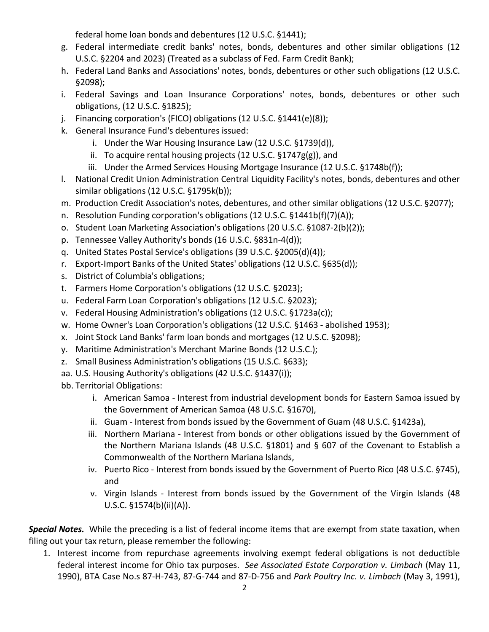federal home loan bonds and debentures (12 U.S.C. §1441);

- g. Federal intermediate credit banks' notes, bonds, debentures and other similar obligations (12 U.S.C. §2204 and 2023) (Treated as a subclass of Fed. Farm Credit Bank);
- h. Federal Land Banks and Associations' notes, bonds, debentures or other such obligations (12 U.S.C. §2098);
- i. Federal Savings and Loan Insurance Corporations' notes, bonds, debentures or other such obligations, (12 U.S.C. §1825);
- j. Financing corporation's (FICO) obligations (12 U.S.C. §1441(e)(8));
- k. General Insurance Fund's debentures issued:
	- i. Under the War Housing Insurance Law (12 U.S.C. §1739(d)),
	- ii. To acquire rental housing projects (12 U.S.C. §1747g(g)), and
	- iii. Under the Armed Services Housing Mortgage Insurance (12 U.S.C. §1748b(f));
- l. National Credit Union Administration Central Liquidity Facility's notes, bonds, debentures and other similar obligations (12 U.S.C. §1795k(b));
- m. Production Credit Association's notes, debentures, and other similar obligations (12 U.S.C. §2077);
- n. Resolution Funding corporation's obligations (12 U.S.C. §1441b(f)(7)(A));
- o. Student Loan Marketing Association's obligations (20 U.S.C. §1087-2(b)(2));
- p. Tennessee Valley Authority's bonds (16 U.S.C. §831n-4(d));
- q. United States Postal Service's obligations (39 U.S.C. §2005(d)(4));
- r. Export-Import Banks of the United States' obligations (12 U.S.C. §635(d));
- s. District of Columbia's obligations;
- t. Farmers Home Corporation's obligations (12 U.S.C. §2023);
- u. Federal Farm Loan Corporation's obligations (12 U.S.C. §2023);
- v. Federal Housing Administration's obligations (12 U.S.C. §1723a(c));
- w. Home Owner's Loan Corporation's obligations (12 U.S.C. §1463 abolished 1953);
- x. Joint Stock Land Banks' farm loan bonds and mortgages (12 U.S.C. §2098);
- y. Maritime Administration's Merchant Marine Bonds (12 U.S.C.);
- z. Small Business Administration's obligations (15 U.S.C. §633);
- aa. U.S. Housing Authority's obligations (42 U.S.C. §1437(i));
- bb. Territorial Obligations:
	- i. American Samoa Interest from industrial development bonds for Eastern Samoa issued by the Government of American Samoa (48 U.S.C. §1670),
	- ii. Guam Interest from bonds issued by the Government of Guam (48 U.S.C. §1423a),
	- iii. Northern Mariana Interest from bonds or other obligations issued by the Government of the Northern Mariana Islands (48 U.S.C. §1801) and § 607 of the Covenant to Establish a Commonwealth of the Northern Mariana Islands,
	- iv. Puerto Rico Interest from bonds issued by the Government of Puerto Rico (48 U.S.C. §745), and
	- v. Virgin Islands Interest from bonds issued by the Government of the Virgin Islands (48 U.S.C. §1574(b)(ii)(A)).

**Special Notes.** While the preceding is a list of federal income items that are exempt from state taxation, when filing out your tax return, please remember the following:

 1. Interest income from repurchase agreements involving exempt federal obligations is not deductible federal interest income for Ohio tax purposes. *See Associated Estate Corporation v. Limbach* (May 11, 1990), BTA Case No.s 87-H-743, 87-G-744 and 87-D-756 and *Park Poultry Inc. v. Limbach* (May 3, 1991),